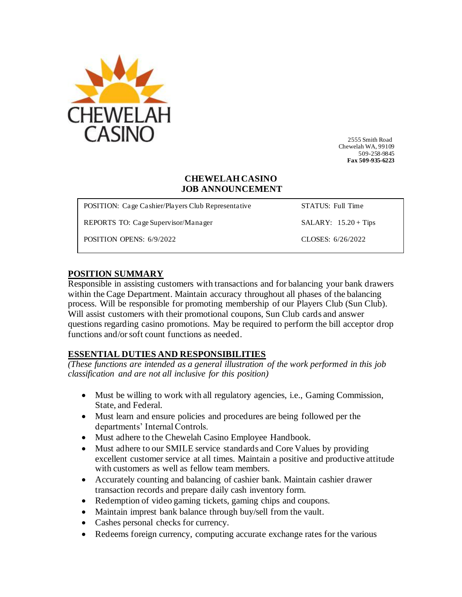

 2555 Smith Road Chewelah WA, 99109 509-258-9845 **Fax 509-935-6223**

#### **CHEWELAH CASINO JOB ANNOUNCEMENT**

| <b>POSITION:</b> Cage Cashier/Players Club Representative | STATUS: Full Time      |
|-----------------------------------------------------------|------------------------|
| REPORTS TO: Cage Supervisor/Manager                       | SALARY: $15.20 + Tips$ |
| POSITION OPENS: 6/9/2022                                  | CLOSES: 6/26/2022      |

## **POSITION SUMMARY**

Responsible in assisting customers with transactions and for balancing your bank drawers within the Cage Department. Maintain accuracy throughout all phases of the balancing process. Will be responsible for promoting membership of our Players Club (Sun Club). Will assist customers with their promotional coupons, Sun Club cards and answer questions regarding casino promotions. May be required to perform the bill acceptor drop functions and/or soft count functions as needed.

## **ESSENTIAL DUTIES AND RESPONSIBILITIES**

*(These functions are intended as a general illustration of the work performed in this job classification and are not all inclusive for this position)*

- Must be willing to work with all regulatory agencies, i.e., Gaming Commission, State, and Federal.
- Must learn and ensure policies and procedures are being followed per the departments' Internal Controls.
- Must adhere to the Chewelah Casino Employee Handbook.
- Must adhere to our SMILE service standards and Core Values by providing excellent customer service at all times. Maintain a positive and productive attitude with customers as well as fellow team members.
- Accurately counting and balancing of cashier bank. Maintain cashier drawer transaction records and prepare daily cash inventory form.
- Redemption of video gaming tickets, gaming chips and coupons.
- Maintain imprest bank balance through buy/sell from the vault.
- Cashes personal checks for currency.
- Redeems foreign currency, computing accurate exchange rates for the various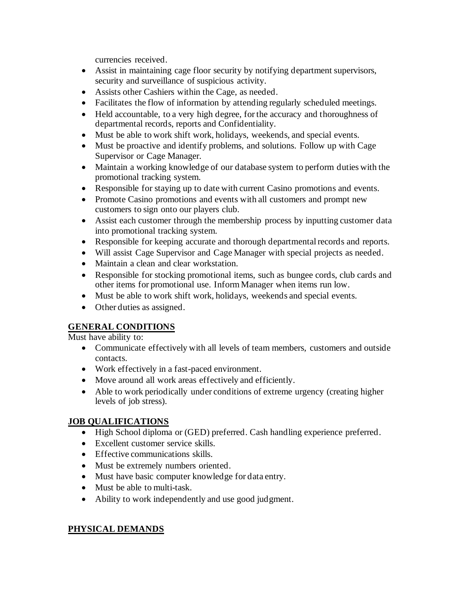currencies received.

- Assist in maintaining cage floor security by notifying department supervisors, security and surveillance of suspicious activity.
- Assists other Cashiers within the Cage, as needed.
- Facilitates the flow of information by attending regularly scheduled meetings.
- Held accountable, to a very high degree, for the accuracy and thoroughness of departmental records, reports and Confidentiality.
- Must be able to work shift work, holidays, weekends, and special events.
- Must be proactive and identify problems, and solutions. Follow up with Cage Supervisor or Cage Manager.
- Maintain a working knowledge of our database system to perform duties with the promotional tracking system.
- Responsible for staying up to date with current Casino promotions and events.
- Promote Casino promotions and events with all customers and prompt new customers to sign onto our players club.
- Assist each customer through the membership process by inputting customer data into promotional tracking system.
- Responsible for keeping accurate and thorough departmental records and reports.
- Will assist Cage Supervisor and Cage Manager with special projects as needed.
- Maintain a clean and clear workstation.
- Responsible for stocking promotional items, such as bungee cords, club cards and other items for promotional use. Inform Manager when items run low.
- Must be able to work shift work, holidays, weekends and special events.
- Other duties as assigned.

# **GENERAL CONDITIONS**

Must have ability to:

- Communicate effectively with all levels of team members, customers and outside contacts.
- Work effectively in a fast-paced environment.
- Move around all work areas effectively and efficiently.
- Able to work periodically under conditions of extreme urgency (creating higher levels of job stress).

# **JOB QUALIFICATIONS**

- High School diploma or (GED) preferred. Cash handling experience preferred.
- Excellent customer service skills.
- Effective communications skills.
- Must be extremely numbers oriented.
- Must have basic computer knowledge for data entry.
- Must be able to multi-task.
- Ability to work independently and use good judgment.

# **PHYSICAL DEMANDS**